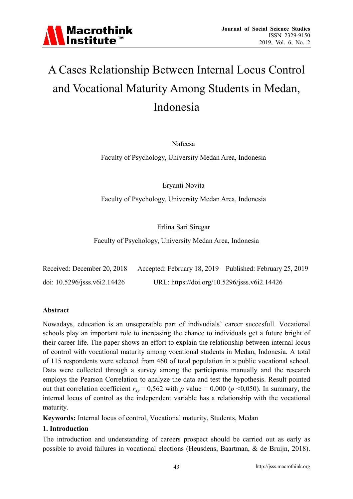

# A Cases Relationship Between Internal Locus Control and Vocational Maturity Among Students in Medan, Indonesia

Nafeesa

Faculty of Psychology, University Medan Area, Indonesia

Eryanti Novita

Faculty of Psychology, University Medan Area, Indonesia

Erlina Sari Siregar

Faculty of Psychology, University Medan Area, Indonesia

| Received: December 20, 2018  |                                              | Accepted: February 18, 2019 Published: February 25, 2019 |
|------------------------------|----------------------------------------------|----------------------------------------------------------|
| doi: 10.5296/jsss.v6i2.14426 | URL: https://doi.org/10.5296/jsss.v6i2.14426 |                                                          |

### **Abstract**

Nowadays, education is an unseperatble part of indivudials' career succesfull. Vocational schools play an important role to increasing the chance to individuals get a future bright of their career life. The paper shows an effort to explain the relationship between internal locus of control with vocational maturity among vocational students in Medan, Indonesia. A total of 115 respondents were selected from 460 of total population in a public vocational school. Data were collected through a survey among the participants manually and the research employs the Pearson Correlation to analyze the data and test the hypothesis. Result pointed out that correlation coefficient  $r_{xy} = 0.562$  with *p* value = 0.000 (*p* <0,050). In summary, the internal locus of control as the independent variable has a relationship with the vocational maturity.

**Keywords:** Internal locus of control, Vocational maturity, Students, Medan

### **1. Introduction**

The introduction and understanding of careers prospect should be carried out as early as possible to avoid failures in vocational elections (Heusdens, Baartman, & de Bruijn, 2018).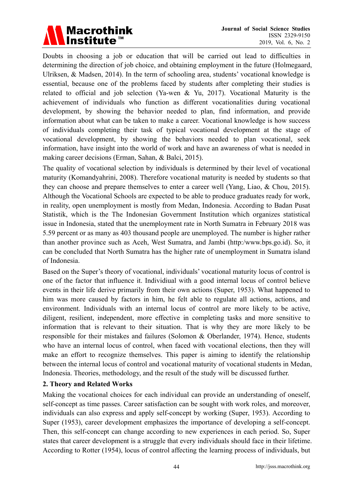

Doubts in choosing a job or education that will be carried out lead to difficulties in determining the direction of job choice, and obtaining employment in the future (Holmegaard, Ulriksen, & Madsen, 2014). In the term of schooling area, students' vocational knowledge is essential, because one of the problems faced by students after completing their studies is related to official and job selection (Ya-wen & Yu, 2017). Vocational Maturity is the achievement of individuals who function as different vocationalities during vocational development, by showing the behavior needed to plan, find information, and provide information about what can be taken to make a career. Vocational knowledge is how success of individuals completing their task of typical vocational development at the stage of vocational development, by showing the behaviors needed to plan vocational, seek information, have insight into the world of work and have an awareness of what is needed in making career decisions (Erman, Sahan, & Balci, 2015).

The quality of vocational selection by individuals is determined by their level of vocational maturity (Komandyahrini, 2008). Therefore vocational maturity is needed by students so that they can choose and prepare themselves to enter a career well (Yang, Liao, & Chou, 2015). Although the Vocational Schools are expected to be able to produce graduates ready for work, in reality, open unemployment is mostly from Medan, Indonesia. According to Badan Pusat Statistik, which is the The Indonesian Government Institution which organizes statistical issue in Indonesia, stated that the unemployment rate in North Sumatra in February 2018 was 5.59 percent or as many as 403 thousand people are unemployed. The number is higher rather than another province such as Aceh, West Sumatra, and Jambi (http:/www.bps.go.id). So, it can be concluded that North Sumatra has the higher rate of unemployment in Sumatra island of Indonesia.

Based on the Super's theory of vocational, individuals' vocational maturity locus of control is one of the factor that influence it. Individiual with a good internal locus of control believe events in their life derive primarily from their own actions (Super, 1953). What happened to him was more caused by factors in him, he felt able to regulate all actions, actions, and environment. Individuals with an internal locus of control are more likely to be active, diligent, resilient, independent, more effective in completing tasks and more sensitive to information that is relevant to their situation. That is why they are more likely to be responsible for their mistakes and failures (Solomon & Oberlander, 1974). Hence, students who have an internal locus of control, when faced with vocational elections, then they will make an effort to recognize themselves. This paper is aiming to identify the relationship between the internal locus of control and vocational maturity of vocational students in Medan, Indonesia. Theories, methodology, and the result of the study will be discussed further.

# **2. Theory and Related Works**

Making the vocational choices for each individual can provide an understanding of oneself, self-concept as time passes. Career satisfaction can be sought with work roles, and moreover, individuals can also express and apply self-concept by working (Super, 1953). According to Super (1953), career development emphasizes the importance of developing a self-concept. Then, this self-concept can change according to new experiences in each period. So, Super states that career development is a struggle that every individuals should face in their lifetime. According to Rotter (1954), locus of control affecting the learning process of individuals, but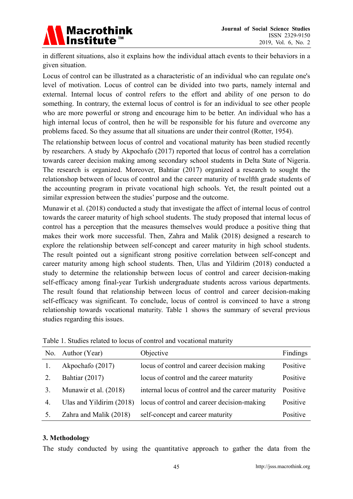

in different situations, also it explains how the individual attach events to their behaviors in a given situation.

Locus of control can be illustrated as a characteristic of an individual who can regulate one's level of motivation. Locus of control can be divided into two parts, namely internal and external. Internal locus of control refers to the effort and ability of one person to do something. In contrary, the external locus of control is for an individual to see other people who are more powerful or strong and encourage him to be better. An individual who has a high internal locus of control, then he will be responsible for his future and overcome any problems faced. So they assume that all situations are under their control (Rotter, 1954).

The relationship between locus of control and vocational maturity has been studied recently by researchers. A study by Akpochafo (2017) reported that locus of control has a correlation towards career decision making among secondary school students in Delta State of Nigeria. The research is organized. Moreover, Bahtiar (2017) organized a research to sought the relationshop between of locus of control and the career maturity of twelfth grade students of the accounting program in private vocational high schools. Yet, the result pointed out a similar expression between the studies' purpose and the outcome.

Munawir et al. (2018) conducted a study that investigate the affect of internal locus of control towards the career maturity of high school students. The study proposed that internal locus of control has a perception that the measures themselves would produce a positive thing that makes their work more successful. Then, Zahra and Malik (2018) designed a research to explore the relationship between self-concept and career maturity in high school students. The result pointed out a significant strong positive correlation between self-concept and career maturity among high school students. Then, Ulas and Yildirim (2018) conducted a study to determine the relationship between locus of control and career decision-making self-efficacy among final-year Turkish undergraduate students across various departments. The result found that relationship between locus of control and career decision-making self-efficacy was significant. To conclude, locus of control is convinced to have a strong relationship towards vocational maturity. Table 1 shows the summary of several previous studies regarding this issues.

|    | No. Author (Year)          | Objective                                         | Findings |
|----|----------------------------|---------------------------------------------------|----------|
|    | Akpochafo (2017)           | locus of control and career decision making       | Positive |
|    | Bahtiar (2017)             | locus of control and the career maturity          | Positive |
| 3. | Munawir et al. (2018)      | internal locus of control and the career maturity | Positive |
| 4. | Ulas and Yildirim $(2018)$ | locus of control and career decision-making       | Positive |
|    | Zahra and Malik (2018)     | self-concept and career maturity                  | Positive |

Table 1. Studies related to locus of control and vocational maturity

# **3. Methodology**

The study conducted by using the quantitative approach to gather the data from the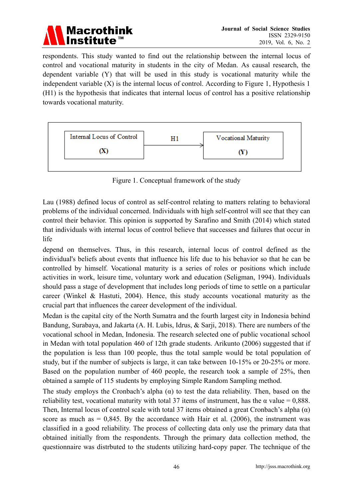

respondents. This study wanted to find out the relationship between the internal locus of control and vocational maturity in students in the city of Medan. As causal research, the dependent variable (Y) that will be used in this study is vocational maturity while the independent variable  $(X)$  is the internal locus of control. According to Figure 1, Hypothesis 1 (H1) is the hypothesis that indicates that internal locus of control has a positive relationship towards vocational maturity.



Figure 1. Conceptual framework of the study

Lau (1988) defined locus of control as self-control relating to matters relating to behavioral problems of the individual concerned. Individuals with high self-control will see that they can control their behavior. This opinion is supported by Sarafino and Smith (2014) which stated that individuals with internal locus of control believe that successes and failures that occur in life

depend on themselves. Thus, in this research, internal locus of control defined as the individual's beliefs about events that influence his life due to his behavior so that he can be controlled by himself. Vocational maturity is a series of roles or positions which include activities in work, leisure time, voluntary work and education (Seligman, 1994). Individuals should pass a stage of development that includes long periods of time to settle on a particular career (Winkel & Hastuti, 2004). Hence, this study accounts vocational maturity as the crucial part that influences the career development of the individual.

Medan is the capital city of the North Sumatra and the fourth largest city in Indonesia behind Bandung, Surabaya, and Jakarta (A. H. Lubis, Idrus, & Sarji, 2018). There are numbers of the vocational school in Medan, Indonesia. The research selected one of public vocational school in Medan with total population 460 of 12th grade students. Arikunto (2006) suggested that if the population is less than 100 people, thus the total sample would be total population of study, but if the number of subjects is large, it can take between 10-15% or 20-25% or more. Based on the population number of 460 people, the research took a sample of 25%, then obtained a sample of 115 students by employing Simple Random Sampling method.

The study employs the Cronbach's alpha  $(\alpha)$  to test the data reliability. Then, based on the reliability test, vocational maturity with total 37 items of instrument, has the  $\alpha$  value = 0,888. Then, Internal locus of control scale with total 37 items obtained a great Cronbach's alpha  $(\alpha)$ score as much as  $= 0.845$ . By the accordance with Hair et al. (2006), the instrument was classified in a good reliability. The process of collecting data only use the primary data that obtained initially from the respondents. Through the primary data collection method, the questionnaire was distrbuted to the students utilizing hard-copy paper. The technique of the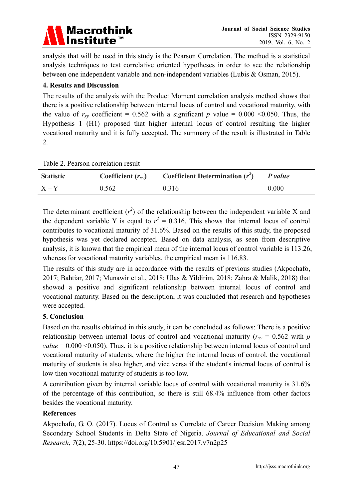

analysis that will be used in this study is the Pearson Correlation. The method is a statistical analysis techniques to test correlative oriented hypotheses in order to see the relationship between one independent variable and non-independent variables (Lubis & Osman, 2015).

# **4. Results and Discussion**

The results of the analysis with the Product Moment correlation analysis method shows that there is a positive relationship between internal locus of control and vocational maturity, with the value of  $r_{xy}$  coefficient = 0.562 with a significant *p* value = 0.000 < 0.050. Thus, the Hypothesis 1 (H1) proposed that higher internal locus of control resulting the higher vocational maturity and it is fully accepted. The summary of the result is illustrated in Table 2.

|  |  | Table 2. Pearson correlation result |  |
|--|--|-------------------------------------|--|
|--|--|-------------------------------------|--|

| <b>Statistic</b> | Coefficient $(r_{xy})$ | <b>Coefficient Determination</b> $(r^2)$ | P value |
|------------------|------------------------|------------------------------------------|---------|
| $X - Y$          | 0.562                  | 0.316                                    | 0.000   |

The determinant coefficient  $(r^2)$  of the relationship between the independent variable X and the dependent variable Y is equal to  $r^2 = 0.316$ . This shows that internal locus of control contributes to vocational maturity of 31.6%. Based on the results of this study, the proposed hypothesis was yet declared accepted. Based on data analysis, as seen from descriptive analysis, it is known that the empirical mean of the internal locus of control variable is 113.26, whereas for vocational maturity variables, the empirical mean is 116.83.

The results of this study are in accordance with the results of previous studies (Akpochafo, 2017; Bahtiar, 2017; Munawir et al., 2018; Ulas & Yildirim, 2018; Zahra & Malik, 2018) that showed a positive and significant relationship between internal locus of control and vocational maturity. Based on the description, it was concluded that research and hypotheses were accepted.

# **5. Conclusion**

Based on the results obtained in this study, it can be concluded as follows: There is a positive relationship between internal locus of control and vocational maturity ( $r_{xy}$  = 0.562 with *p value* = 0.000 < 0.050). Thus, it is a positive relationship between internal locus of control and vocational maturity of students, where the higher the internal locus of control, the vocational maturity of students is also higher, and vice versa if the student's internal locus of control is low then vocational maturity of students is too low.

A contribution given by internal variable locus of control with vocational maturity is 31.6% of the percentage of this contribution, so there is still 68.4% influence from other factors besides the vocational maturity.

# **References**

Akpochafo, G. O. (2017). Locus of Control as Correlate of Career Decision Making among Secondary School Students in Delta State of Nigeria. *Journal of Educational and Social Research, 7*(2), 25-30. https://doi.org/10.5901/jesr.2017.v7n2p25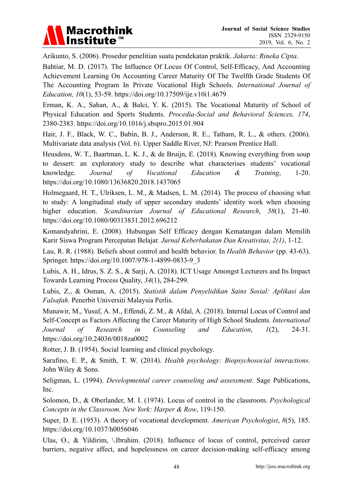

Arikunto, S. (2006). Prosedur penelitian suatu pendekatan praktik. *Jakarta: Rineka Cipta*.

Bahtiar, M. D. (2017). The Influence Of Locus Of Control, Self-Efficacy, And Accounting Achievement Learning On Accounting Career Maturity Of The Twelfth Grade Students Of The Accounting Program In Private Vocational High Schools. *International Journal of Education, 10*(1), 53-59. https://doi.org/10.17509/ije.v10i1.4679

Erman, K. A., Sahan, A., & Balci, Y. K. (2015). The Vocational Maturity of School of Physical Education and Sports Students. *Procedia-Social and Behavioral Sciences, 174*, 2380-2383. https://doi.org/10.1016/j.sbspro.2015.01.904

Hair, J. F., Black, W. C., Babin, B. J., Anderson, R. E., Tatham, R. L., & others. (2006). Multivariate data analysis (Vol. 6). Upper Saddle River, NJ: Pearson Prentice Hall.

Heusdens, W. T., Baartman, L. K. J., & de Bruijn, E. (2018). Knowing everything from soup to dessert: an exploratory study to describe what characterises students' vocational knowledge. *Journal of Vocational Education & Training*, 1-20. https://doi.org/10.1080/13636820.2018.1437065

Holmegaard, H. T., Ulriksen, L. M., & Madsen, L. M. (2014). The process of choosing what to study: A longitudinal study of upper secondary students' identity work when choosing higher education. *Scandinavian Journal of Educational Research*, *58*(1), 21-40. https://doi.org/10.1080/00313831.2012.696212

Komandyahrini, E. (2008). Hubungan Self Efficacy dengan Kematangan dalam Memilih Karir Siswa Program Percepatan Belajar. *Jurnal Keberbakatan Dan Kreativitas, 2(1)*, 1-12.

Lau, R. R. (1988). Beliefs about control and health behavior. In *Health Behavior* (pp. 43-63). Springer. https://doi.org/10.1007/978-1-4899-0833-9\_3

Lubis, A. H., Idrus, S. Z. S., & Sarji, A. (2018). ICT Usage Amongst Lecturers and Its Impact Towards Learning Process Quality, *34*(1), 284-299.

Lubis, Z., & Osman, A. (2015). *Statistik dalam Penyelidikan Sains Sosial: Aplikasi dan Falsafah*. Penerbit Universiti Malaysia Perlis.

Munawir, M., Yusuf, A. M., Effendi, Z. M., & Afdal, A. (2018). Internal Locus of Control and Self-Concept as Factors Affecting the Career Maturity of High School Students. *International Journal of Research in Counseling and Education*, *1*(2), 24-31. https://doi.org/10.24036/0018za0002

Rotter, J. B. (1954). Social learning and clinical psychology.

Sarafino, E. P., & Smith, T. W. (2014). *Health psychology: Biopsychosocial interactions*. John Wiley & Sons.

Seligman, L. (1994). *Developmental career counseling and assessment*. Sage Publications, Inc.

Solomon, D., & Oberlander, M. I. (1974). Locus of control in the classroom. *Psychological Concepts in the Classroom. New York: Harper & Row*, 119-150.

Super, D. E. (1953). A theory of vocational development. *American Psychologist*, *8*(5), 185. https://doi.org/10.1037/h0056046

Ulas, O., & Yildirim, \.Ibrahim. (2018). Influence of locus of control, perceived career barriers, negative affect, and hopelessness on career decision-making self-efficacy among